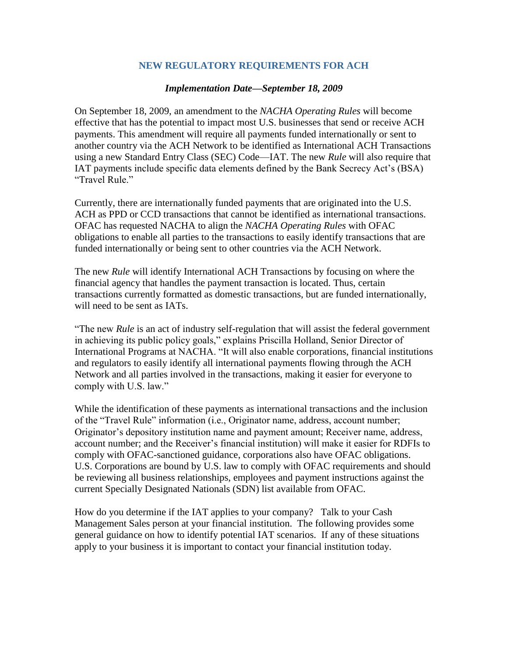## **NEW REGULATORY REQUIREMENTS FOR ACH**

## *Implementation Date—September 18, 2009*

On September 18, 2009, an amendment to the *NACHA Operating Rules* will become effective that has the potential to impact most U.S. businesses that send or receive ACH payments. This amendment will require all payments funded internationally or sent to another country via the ACH Network to be identified as International ACH Transactions using a new Standard Entry Class (SEC) Code—IAT. The new *Rule* will also require that IAT payments include specific data elements defined by the Bank Secrecy Act's (BSA) "Travel Rule."

Currently, there are internationally funded payments that are originated into the U.S. ACH as PPD or CCD transactions that cannot be identified as international transactions. OFAC has requested NACHA to align the *NACHA Operating Rules* with OFAC obligations to enable all parties to the transactions to easily identify transactions that are funded internationally or being sent to other countries via the ACH Network.

The new *Rule* will identify International ACH Transactions by focusing on where the financial agency that handles the payment transaction is located. Thus, certain transactions currently formatted as domestic transactions, but are funded internationally, will need to be sent as IATs.

"The new *Rule* is an act of industry self-regulation that will assist the federal government in achieving its public policy goals," explains Priscilla Holland, Senior Director of International Programs at NACHA. "It will also enable corporations, financial institutions and regulators to easily identify all international payments flowing through the ACH Network and all parties involved in the transactions, making it easier for everyone to comply with U.S. law."

While the identification of these payments as international transactions and the inclusion of the "Travel Rule" information (i.e., Originator name, address, account number; Originator's depository institution name and payment amount; Receiver name, address, account number; and the Receiver's financial institution) will make it easier for RDFIs to comply with OFAC-sanctioned guidance, corporations also have OFAC obligations. U.S. Corporations are bound by U.S. law to comply with OFAC requirements and should be reviewing all business relationships, employees and payment instructions against the current Specially Designated Nationals (SDN) list available from OFAC.

How do you determine if the IAT applies to your company? Talk to your Cash Management Sales person at your financial institution. The following provides some general guidance on how to identify potential IAT scenarios. If any of these situations apply to your business it is important to contact your financial institution today.